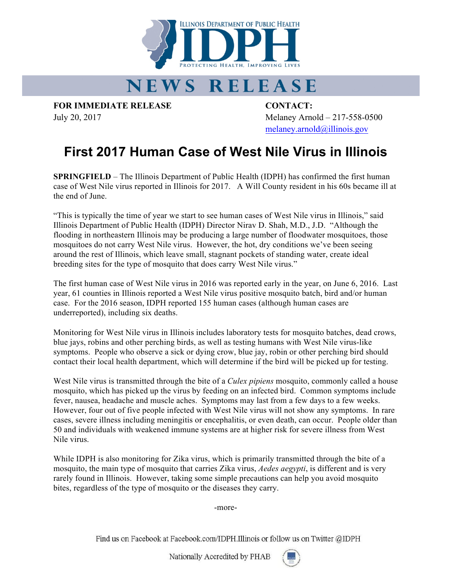

## NEWS RELEASE

**FOR IMMEDIATE RELEASE CONTACT:**

July 20, 2017 Melaney Arnold – 217-558-0500 melaney.arnold@illinois.gov

## **First 2017 Human Case of West Nile Virus in Illinois**

**SPRINGFIELD** – The Illinois Department of Public Health (IDPH) has confirmed the first human case of West Nile virus reported in Illinois for 2017. A Will County resident in his 60s became ill at the end of June.

"This is typically the time of year we start to see human cases of West Nile virus in Illinois," said Illinois Department of Public Health (IDPH) Director Nirav D. Shah, M.D., J.D. "Although the flooding in northeastern Illinois may be producing a large number of floodwater mosquitoes, those mosquitoes do not carry West Nile virus. However, the hot, dry conditions we've been seeing around the rest of Illinois, which leave small, stagnant pockets of standing water, create ideal breeding sites for the type of mosquito that does carry West Nile virus."

The first human case of West Nile virus in 2016 was reported early in the year, on June 6, 2016. Last year, 61 counties in Illinois reported a West Nile virus positive mosquito batch, bird and/or human case. For the 2016 season, IDPH reported 155 human cases (although human cases are underreported), including six deaths.

Monitoring for West Nile virus in Illinois includes laboratory tests for mosquito batches, dead crows, blue jays, robins and other perching birds, as well as testing humans with West Nile virus-like symptoms. People who observe a sick or dying crow, blue jay, robin or other perching bird should contact their local health department, which will determine if the bird will be picked up for testing.

West Nile virus is transmitted through the bite of a *Culex pipiens* mosquito, commonly called a house mosquito, which has picked up the virus by feeding on an infected bird. Common symptoms include fever, nausea, headache and muscle aches. Symptoms may last from a few days to a few weeks. However, four out of five people infected with West Nile virus will not show any symptoms. In rare cases, severe illness including meningitis or encephalitis, or even death, can occur. People older than 50 and individuals with weakened immune systems are at higher risk for severe illness from West Nile virus.

While IDPH is also monitoring for Zika virus, which is primarily transmitted through the bite of a mosquito, the main type of mosquito that carries Zika virus, *Aedes aegypti*, is different and is very rarely found in Illinois. However, taking some simple precautions can help you avoid mosquito bites, regardless of the type of mosquito or the diseases they carry.

-more-

Find us on Facebook at Facebook.com/IDPH.Illinois or follow us on Twitter @IDPH

Nationally Accredited by PHAB